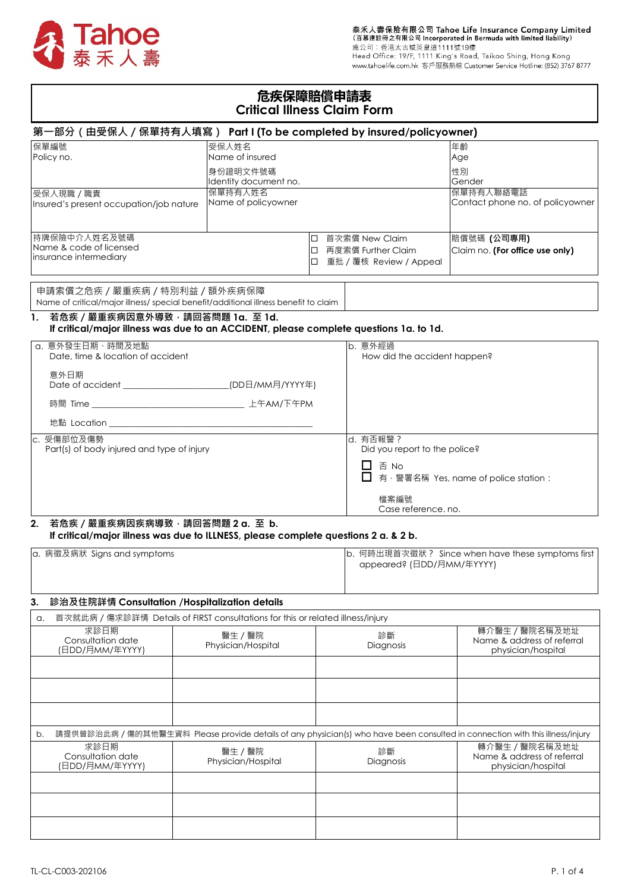

# **危疾保障賠償申請表 Critical Illness Claim Form**

| 第一部分(由受保人/保單持有人填寫)  Part I (To be completed by insured/policyowner)                                                   |                                                                                        |  |                                                    |                                                                                                                               |  |  |  |
|-----------------------------------------------------------------------------------------------------------------------|----------------------------------------------------------------------------------------|--|----------------------------------------------------|-------------------------------------------------------------------------------------------------------------------------------|--|--|--|
| 保單編號                                                                                                                  | 受保人姓名                                                                                  |  |                                                    | 年齢                                                                                                                            |  |  |  |
| Policy no.                                                                                                            | Name of insured                                                                        |  |                                                    | Age                                                                                                                           |  |  |  |
|                                                                                                                       | 身份證明文件號碼                                                                               |  |                                                    | 性別                                                                                                                            |  |  |  |
|                                                                                                                       | Identity document no.                                                                  |  |                                                    | Gender                                                                                                                        |  |  |  |
| 受保人現職 / 職責                                                                                                            | 保單持有人姓名                                                                                |  |                                                    | 保單持有人聯絡電話                                                                                                                     |  |  |  |
| Insured's present occupation/job nature                                                                               | Name of policyowner                                                                    |  |                                                    | Contact phone no. of policyowner                                                                                              |  |  |  |
|                                                                                                                       |                                                                                        |  |                                                    |                                                                                                                               |  |  |  |
|                                                                                                                       |                                                                                        |  |                                                    |                                                                                                                               |  |  |  |
| 持牌保險中介人姓名及號碼                                                                                                          |                                                                                        |  | □ 首次索償 New Claim                                   | 賠償號碼 (公司專用)                                                                                                                   |  |  |  |
| Name & code of licensed                                                                                               |                                                                                        |  | □ 再度索償 Further Claim                               | Claim no. (For office use only)                                                                                               |  |  |  |
| insurance intermediary                                                                                                |                                                                                        |  | □ 重批 / 覆核 Review / Appeal                          |                                                                                                                               |  |  |  |
|                                                                                                                       |                                                                                        |  |                                                    |                                                                                                                               |  |  |  |
|                                                                                                                       |                                                                                        |  |                                                    |                                                                                                                               |  |  |  |
| 申請索償之危疾 / 嚴重疾病 / 特別利益 / 額外疾病保障<br>Name of critical/major illness/ special benefit/additional illness benefit to claim |                                                                                        |  |                                                    |                                                                                                                               |  |  |  |
|                                                                                                                       |                                                                                        |  |                                                    |                                                                                                                               |  |  |  |
| 若危疾 / 嚴重疾病因意外導致, 請回答問題 1a. 至 1d.<br>1.                                                                                |                                                                                        |  |                                                    |                                                                                                                               |  |  |  |
|                                                                                                                       | If critical/major illness was due to an ACCIDENT, please complete questions 1a. to 1d. |  |                                                    |                                                                                                                               |  |  |  |
| a. 意外發生日期、時間及地點                                                                                                       |                                                                                        |  | b. 意外經過                                            |                                                                                                                               |  |  |  |
| Date, time & location of accident                                                                                     |                                                                                        |  |                                                    | How did the accident happen?                                                                                                  |  |  |  |
| 意外日期                                                                                                                  |                                                                                        |  |                                                    |                                                                                                                               |  |  |  |
|                                                                                                                       | Date of accident _______________________________(DD日/MM月/YYYY年)                        |  |                                                    |                                                                                                                               |  |  |  |
|                                                                                                                       |                                                                                        |  |                                                    |                                                                                                                               |  |  |  |
|                                                                                                                       |                                                                                        |  |                                                    |                                                                                                                               |  |  |  |
|                                                                                                                       |                                                                                        |  |                                                    |                                                                                                                               |  |  |  |
|                                                                                                                       |                                                                                        |  |                                                    |                                                                                                                               |  |  |  |
| c. 受傷部位及傷勢                                                                                                            |                                                                                        |  | ld. 有否報警?                                          |                                                                                                                               |  |  |  |
| Part(s) of body injured and type of injury                                                                            |                                                                                        |  | Did you report to the police?                      |                                                                                                                               |  |  |  |
|                                                                                                                       |                                                                                        |  | □ 否 No                                             |                                                                                                                               |  |  |  |
|                                                                                                                       |                                                                                        |  |                                                    | 有, 警署名稱 Yes, name of police station:                                                                                          |  |  |  |
|                                                                                                                       |                                                                                        |  |                                                    |                                                                                                                               |  |  |  |
|                                                                                                                       |                                                                                        |  | 檔案編號                                               |                                                                                                                               |  |  |  |
|                                                                                                                       |                                                                                        |  | Case reference. no.                                |                                                                                                                               |  |  |  |
| 若危疾 / 嚴重疾病因疾病導致, 請回答問題 2 a. 至 b.<br>2.                                                                                |                                                                                        |  |                                                    |                                                                                                                               |  |  |  |
|                                                                                                                       | If critical/major illness was due to ILLNESS, please complete questions 2 a. & 2 b.    |  |                                                    |                                                                                                                               |  |  |  |
| a. 病徵及病狀 Signs and symptoms                                                                                           |                                                                                        |  | b. 何時出現首次徵狀 ? Since when have these symptoms first |                                                                                                                               |  |  |  |
|                                                                                                                       |                                                                                        |  | appeared? (日DD/月MM/年YYYY)                          |                                                                                                                               |  |  |  |
|                                                                                                                       |                                                                                        |  |                                                    |                                                                                                                               |  |  |  |
|                                                                                                                       |                                                                                        |  |                                                    |                                                                                                                               |  |  |  |
| 診治及住院詳情 Consultation /Hospitalization details<br>3.                                                                   |                                                                                        |  |                                                    |                                                                                                                               |  |  |  |
|                                                                                                                       |                                                                                        |  |                                                    |                                                                                                                               |  |  |  |
| a.                                                                                                                    | 首次就此病 / 傷求診詳情 Details of FIRST consultations for this or related illness/injury        |  |                                                    |                                                                                                                               |  |  |  |
| 求診日期                                                                                                                  | 醫生 / 醫院                                                                                |  | 診斷                                                 | 轉介醫生 / 醫院名稱及地址                                                                                                                |  |  |  |
| Consultation date<br>(日DD/月MM/年YYYY)                                                                                  | Physician/Hospital                                                                     |  | Diagnosis                                          | Name & address of referral                                                                                                    |  |  |  |
|                                                                                                                       |                                                                                        |  |                                                    | physician/hospital                                                                                                            |  |  |  |
|                                                                                                                       |                                                                                        |  |                                                    |                                                                                                                               |  |  |  |
|                                                                                                                       |                                                                                        |  |                                                    |                                                                                                                               |  |  |  |
|                                                                                                                       |                                                                                        |  |                                                    |                                                                                                                               |  |  |  |
|                                                                                                                       |                                                                                        |  |                                                    |                                                                                                                               |  |  |  |
|                                                                                                                       |                                                                                        |  |                                                    |                                                                                                                               |  |  |  |
|                                                                                                                       |                                                                                        |  |                                                    |                                                                                                                               |  |  |  |
| b.                                                                                                                    |                                                                                        |  |                                                    | 請提供曾診治此病 / 傷的其他醫生資料 Please provide details of any physician(s) who have been consulted in connection with this illness/injury |  |  |  |
| 求診日期                                                                                                                  | 醫生 / 醫院                                                                                |  | 診斷                                                 | 轉介醫生 / 醫院名稱及地址                                                                                                                |  |  |  |
| Consultation date<br>(日DD/月MM/年YYYY)                                                                                  | Physician/Hospital                                                                     |  | Diagnosis                                          | Name & address of referral<br>physician/hospital                                                                              |  |  |  |
|                                                                                                                       |                                                                                        |  |                                                    |                                                                                                                               |  |  |  |
|                                                                                                                       |                                                                                        |  |                                                    |                                                                                                                               |  |  |  |
|                                                                                                                       |                                                                                        |  |                                                    |                                                                                                                               |  |  |  |
|                                                                                                                       |                                                                                        |  |                                                    |                                                                                                                               |  |  |  |
|                                                                                                                       |                                                                                        |  |                                                    |                                                                                                                               |  |  |  |
|                                                                                                                       |                                                                                        |  |                                                    |                                                                                                                               |  |  |  |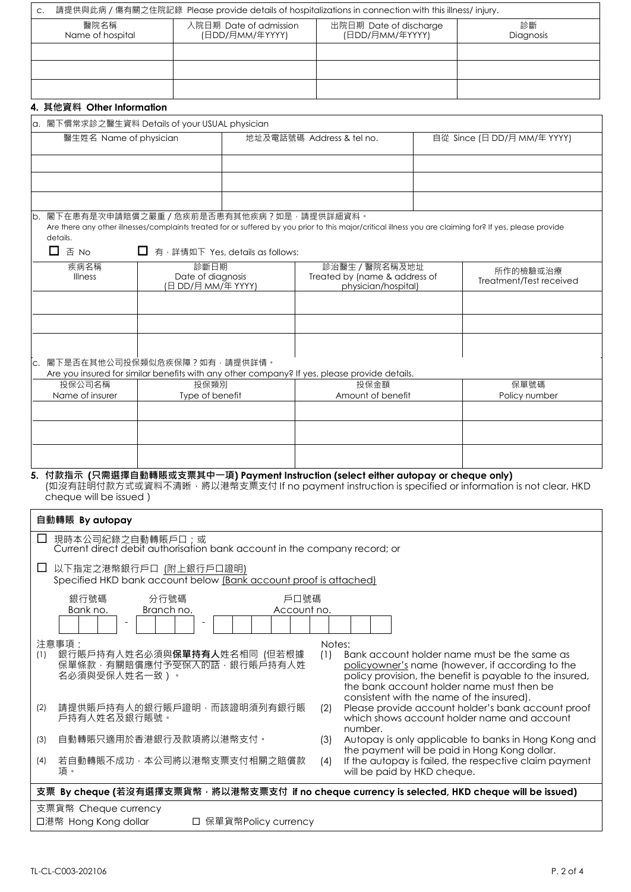| C.                                                                                                                                                                                                                    |                                                                                                                                                                             |                                           | 請提供與此病 / 傷有關之住院記錄 Please provide details of hospitalizations in connection with this illness/injury. |                                                      |                                                                                                                                                           |  |  |
|-----------------------------------------------------------------------------------------------------------------------------------------------------------------------------------------------------------------------|-----------------------------------------------------------------------------------------------------------------------------------------------------------------------------|-------------------------------------------|------------------------------------------------------------------------------------------------------|------------------------------------------------------|-----------------------------------------------------------------------------------------------------------------------------------------------------------|--|--|
| 醫院名稱<br>Name of hospital                                                                                                                                                                                              |                                                                                                                                                                             | 入院日期 Date of admission<br>(日DD/月MM/年YYYY) | 出院日期 Date of discharge<br>(日DD/月MM/年YYYY)                                                            |                                                      | 診斷<br>Diagnosis                                                                                                                                           |  |  |
|                                                                                                                                                                                                                       |                                                                                                                                                                             |                                           |                                                                                                      |                                                      |                                                                                                                                                           |  |  |
|                                                                                                                                                                                                                       |                                                                                                                                                                             |                                           |                                                                                                      |                                                      |                                                                                                                                                           |  |  |
|                                                                                                                                                                                                                       |                                                                                                                                                                             |                                           |                                                                                                      |                                                      |                                                                                                                                                           |  |  |
| 4. 其他資料 Other Information                                                                                                                                                                                             |                                                                                                                                                                             |                                           |                                                                                                      |                                                      |                                                                                                                                                           |  |  |
| a. 閣下慣常求診之醫生資料 Details of your USUAL physician                                                                                                                                                                        |                                                                                                                                                                             |                                           |                                                                                                      |                                                      |                                                                                                                                                           |  |  |
| 醫生姓名 Name of physician                                                                                                                                                                                                |                                                                                                                                                                             | 地址及電話號碼 Address & tel no.                 |                                                                                                      |                                                      | 自從 Since (日 DD/月 MM/年 YYYY)                                                                                                                               |  |  |
|                                                                                                                                                                                                                       |                                                                                                                                                                             |                                           |                                                                                                      |                                                      |                                                                                                                                                           |  |  |
|                                                                                                                                                                                                                       |                                                                                                                                                                             |                                           |                                                                                                      |                                                      |                                                                                                                                                           |  |  |
|                                                                                                                                                                                                                       |                                                                                                                                                                             |                                           |                                                                                                      |                                                      |                                                                                                                                                           |  |  |
| b. 閣下在患有是次申請賠償之嚴重 / 危疾前是否患有其他疾病?如是, 請提供詳細資料。                                                                                                                                                                          |                                                                                                                                                                             |                                           |                                                                                                      |                                                      |                                                                                                                                                           |  |  |
|                                                                                                                                                                                                                       |                                                                                                                                                                             |                                           |                                                                                                      |                                                      | Are there any other illnesses/complaints treated for or suffered by you prior to this major/critical illness you are claiming for? If yes, please provide |  |  |
| details.<br>□<br>否 No                                                                                                                                                                                                 | □ 有, 詳情如下 Yes, details as follows:                                                                                                                                          |                                           |                                                                                                      |                                                      |                                                                                                                                                           |  |  |
| 疾病名稱                                                                                                                                                                                                                  | 診斷日期                                                                                                                                                                        |                                           | 診治醫生 / 醫院名稱及地址                                                                                       |                                                      |                                                                                                                                                           |  |  |
| <b>Illness</b>                                                                                                                                                                                                        | Date of diagnosis<br>(日 DD/月 MM/年 YYYY)                                                                                                                                     |                                           | Treated by (name & address of<br>physician/hospital)                                                 |                                                      | 所作的檢驗或治療<br>Treatment/Test received                                                                                                                       |  |  |
|                                                                                                                                                                                                                       |                                                                                                                                                                             |                                           |                                                                                                      |                                                      |                                                                                                                                                           |  |  |
|                                                                                                                                                                                                                       |                                                                                                                                                                             |                                           |                                                                                                      |                                                      |                                                                                                                                                           |  |  |
|                                                                                                                                                                                                                       |                                                                                                                                                                             |                                           |                                                                                                      |                                                      |                                                                                                                                                           |  |  |
|                                                                                                                                                                                                                       |                                                                                                                                                                             |                                           |                                                                                                      |                                                      |                                                                                                                                                           |  |  |
| 閣下是否在其他公司投保類似危疾保障?如有,請提供詳情。<br>C <sub>1</sub>                                                                                                                                                                         |                                                                                                                                                                             |                                           | Are you insured for similar benefits with any other company? If yes, please provide details.         |                                                      |                                                                                                                                                           |  |  |
| 投保公司名稱                                                                                                                                                                                                                | 投保類別                                                                                                                                                                        |                                           | 投保金額                                                                                                 |                                                      | 保單號碼                                                                                                                                                      |  |  |
| Name of insurer                                                                                                                                                                                                       | Type of benefit                                                                                                                                                             |                                           | Amount of benefit                                                                                    |                                                      | Policy number                                                                                                                                             |  |  |
|                                                                                                                                                                                                                       |                                                                                                                                                                             |                                           |                                                                                                      |                                                      |                                                                                                                                                           |  |  |
|                                                                                                                                                                                                                       |                                                                                                                                                                             |                                           |                                                                                                      |                                                      |                                                                                                                                                           |  |  |
|                                                                                                                                                                                                                       |                                                                                                                                                                             |                                           |                                                                                                      |                                                      |                                                                                                                                                           |  |  |
| 付款指示 (只需選擇自動轉賬或支票其中一項) Payment Instruction (select either autopay or cheque only)<br>5<br>(如沒有註明付款方式或資料不清晰,將以港幣支票支付 If no payment instruction is specified or information is not clear, HKD<br>cheque will be issued) |                                                                                                                                                                             |                                           |                                                                                                      |                                                      |                                                                                                                                                           |  |  |
| 自動轉賬 By autopay                                                                                                                                                                                                       |                                                                                                                                                                             |                                           |                                                                                                      |                                                      |                                                                                                                                                           |  |  |
| 現時本公司紀錄之自動轉賬戶口;或                                                                                                                                                                                                      |                                                                                                                                                                             |                                           |                                                                                                      |                                                      |                                                                                                                                                           |  |  |
| Current direct debit authorisation bank account in the company record; or                                                                                                                                             |                                                                                                                                                                             |                                           |                                                                                                      |                                                      |                                                                                                                                                           |  |  |
| □ 以下指定之港幣銀行戶口 (附上銀行戶口證明)<br>Specified HKD bank account below (Bank account proof is attached)                                                                                                                         |                                                                                                                                                                             |                                           |                                                                                                      |                                                      |                                                                                                                                                           |  |  |
| 分行號碼<br>戶口號碼<br>銀行號碼                                                                                                                                                                                                  |                                                                                                                                                                             |                                           |                                                                                                      |                                                      |                                                                                                                                                           |  |  |
| Bank no.<br>Branch no.<br>Account no.                                                                                                                                                                                 |                                                                                                                                                                             |                                           |                                                                                                      |                                                      |                                                                                                                                                           |  |  |
| $\overline{\phantom{a}}$                                                                                                                                                                                              |                                                                                                                                                                             |                                           |                                                                                                      |                                                      |                                                                                                                                                           |  |  |
| 注意事項:<br>Notes:                                                                                                                                                                                                       |                                                                                                                                                                             |                                           |                                                                                                      |                                                      |                                                                                                                                                           |  |  |
| 銀行賬戶持有人姓名必須與保單持有人姓名相同 (但若根據<br>Bank account holder name must be the same as<br>(1)<br>(1)<br>保單條款·有關賠償應付予受保入的話·銀行賬戶持有人姓<br>policyowner's name (however, if according to the                                           |                                                                                                                                                                             |                                           |                                                                                                      |                                                      |                                                                                                                                                           |  |  |
| 名必須與受保人姓名一致)。                                                                                                                                                                                                         |                                                                                                                                                                             |                                           |                                                                                                      |                                                      | policy provision, the benefit is payable to the insured,<br>the bank account holder name must then be                                                     |  |  |
|                                                                                                                                                                                                                       |                                                                                                                                                                             |                                           |                                                                                                      |                                                      | consistent with the name of the insured).                                                                                                                 |  |  |
| 請提供賬戶持有人的銀行賬戶證明,而該證明須列有銀行賬<br>Please provide account holder's bank account proof<br>(2)<br>(2)<br>which shows account holder name and account<br>戶持有人姓名及銀行賬號。<br>number.                                              |                                                                                                                                                                             |                                           |                                                                                                      |                                                      |                                                                                                                                                           |  |  |
| 自動轉賬只適用於香港銀行及款項將以港幣支付。<br>(3)                                                                                                                                                                                         |                                                                                                                                                                             |                                           | (3)                                                                                                  | Autopay is only applicable to banks in Hong Kong and |                                                                                                                                                           |  |  |
| (4)<br>項。                                                                                                                                                                                                             | the payment will be paid in Hong Kong dollar.<br>若自動轉賬不成功,本公司將以港幣支票支付相關之賠償款<br>If the autopay is failed, the respective claim payment<br>(4)<br>will be paid by HKD cheque. |                                           |                                                                                                      |                                                      |                                                                                                                                                           |  |  |
| 支票 By cheque (若沒有選擇支票貨幣, 將以港幣支票支付 if no cheque currency is selected, HKD cheque will be issued)                                                                                                                       |                                                                                                                                                                             |                                           |                                                                                                      |                                                      |                                                                                                                                                           |  |  |
| 支票貨幣 Cheque currency                                                                                                                                                                                                  |                                                                                                                                                                             |                                           |                                                                                                      |                                                      |                                                                                                                                                           |  |  |
| 口港幣 Hong Kong dollar<br>□ 保單貨幣Policy currency                                                                                                                                                                         |                                                                                                                                                                             |                                           |                                                                                                      |                                                      |                                                                                                                                                           |  |  |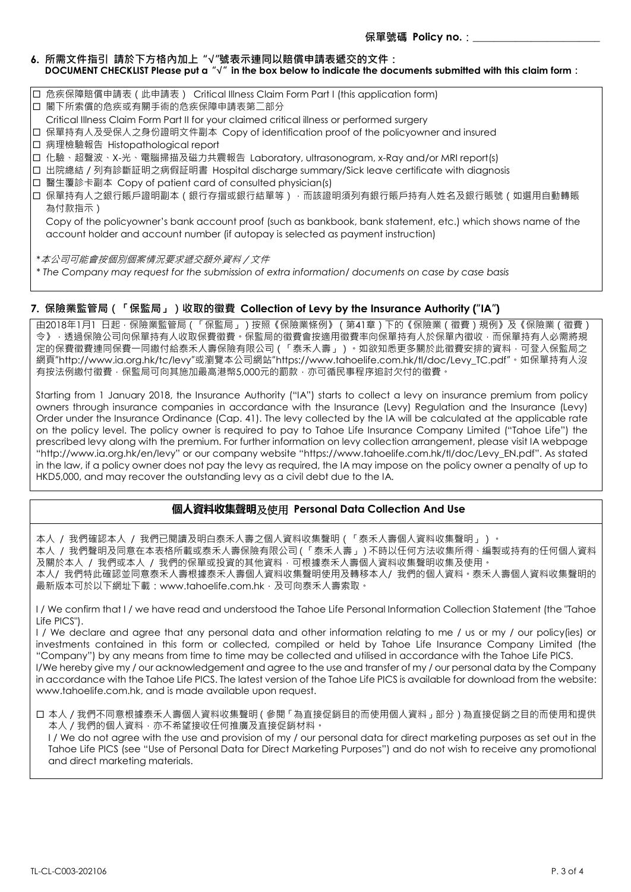### **6. 所需文件指引 請於下方格內加上 "√"號表示連同以賠償申請表遞交的文件: DOCUMENT CHECKLIST Please put a "√" in the box below to indicate the documents submitted with this claim form:**

- 危疾保障賠償申請表(此申請表) Critical Illness Claim Form Part I (this application form)
- □ 閣下所索償的危疾或有關手術的危疾保障申請表第二部分
- Critical Illness Claim Form Part II for your claimed critical illness or performed surgery
- 保單持有人及受保人之身份證明文件副本 Copy of identification proof of the policyowner and insured
- 病理檢驗報告 Histopathological report
- 化驗、超聲波、X-光、電腦掃描及磁力共震報告 Laboratory, ultrasonogram, x-Ray and/or MRI report(s)
- 出院總結/列有診斷証明之病假証明書 Hospital discharge summary/Sick leave certificate with diagnosis
- □ 醫生覆診卡副本 Copy of patient card of consulted physician(s)
- 口 保單持有人之銀行賬戶證明副本(銀行存摺或銀行結單等), 而該證明須列有銀行賬戶持有人姓名及銀行賬號(如選用自動轉賬 為付款指示)

Copy of the policyowner's bank account proof (such as bankbook, bank statement, etc.) which shows name of the account holder and account number (if autopay is selected as payment instruction)

*\**本公司可能會按個別個案情況要求遞交額外資料/文件

*\* The Company may request for the submission of extra information/ documents on case by case basis*

### **7. 保險業監管局(「保監局」)收取的徵費 Collection of Levy by the Insurance Authority ("IA")**

由2018年1月1 日起,保險業監管局(「保監局」)按照《保險業條例》(第41章)下的《保險業(徵費)規例》及《保險業(徵費) 令》, 透過保險公司向保單持有人收取保費徵費。保監局的徵費會按適用徵費率向保單持有人於保單內徵收,而保單持有人必需將規 定的保費徵費連同保費一同繳付給泰禾人壽保險有限公司(「泰禾人壽」)。如欲知悉更多關於此徵費安排的資料,可登入保監局之 網頁"http://www.ia.org.hk/tc/levy"或瀏覽本公司網站"https://www.tahoelife.com.hk/tl/doc/Levy\_TC.pdf"。如保單持有人沒 有按法例繳付徵費,保監局可向其施加最高港幣5,000元的罰款,亦可循民事程序追討欠付的徵費。

Starting from 1 January 2018, the Insurance Authority ("IA") starts to collect a levy on insurance premium from policy owners through insurance companies in accordance with the Insurance (Levy) Regulation and the Insurance (Levy) Order under the Insurance Ordinance (Cap. 41). The levy collected by the IA will be calculated at the applicable rate on the policy level. The policy owner is required to pay to Tahoe Life Insurance Company Limited ("Tahoe Life") the prescribed levy along with the premium. For further information on levy collection arrangement, please visit IA webpage "http://www.ia.org.hk/en/levy" or our company website "https://www.tahoelife.com.hk/tl/doc/Levy\_EN.pdf". As stated in the law, if a policy owner does not pay the levy as required, the IA may impose on the policy owner a penalty of up to HKD5,000, and may recover the outstanding levy as a civil debt due to the IA.

## **個人資料收集聲明**及使用 **Personal Data Collection And Use**

本人 / 我們確認本人 / 我們已閱讀及明白泰禾人壽之個人資料收集聲明(「泰禾人壽個人資料收集聲明」)。

本人 / 我們聲明及同意在本表格所載或泰禾人壽保險有限公司(「泰禾人壽」)不時以任何方法收集所得、編製或持有的任何個人資料 及關於本人 / 我們或本人 / 我們的保單或投資的其他資料,可根據泰禾人壽個人資料收集聲明收集及使用。

本人/ 我們特此確認並同意泰禾人壽根據泰禾人壽個人資料收集聲明使用及轉移本人/ 我們的個人資料。泰禾人壽個人資料收集聲明的 最新版本可於以下網址下載:www.tahoelife.com.hk,及可向泰禾人壽索取。

I / We confirm that I / we have read and understood the Tahoe Life Personal Information Collection Statement (the "Tahoe Life PICS").

I / We declare and agree that any personal data and other information relating to me / us or my / our policy(ies) or investments contained in this form or collected, compiled or held by Tahoe Life Insurance Company Limited (the "Company") by any means from time to time may be collected and utilised in accordance with the Tahoe Life PICS. I/We hereby give my / our acknowledgement and agree to the use and transfer of my / our personal data by the Company

in accordance with the Tahoe Life PICS. The latest version of the Tahoe Life PICS is available for download from the website: www.tahoelife.com.hk, and is made available upon request.

 本人/我們不同意根據泰禾人壽個人資料收集聲明(參閱「為直接促銷目的而使用個人資料」部分)為直接促銷之目的而使用和提供 本人/我們的個人資料,亦不希望接收任何推廣及直接促銷材料。

I / We do not agree with the use and provision of my / our personal data for direct marketing purposes as set out in the Tahoe Life PICS (see "Use of Personal Data for Direct Marketing Purposes") and do not wish to receive any promotional and direct marketing materials.